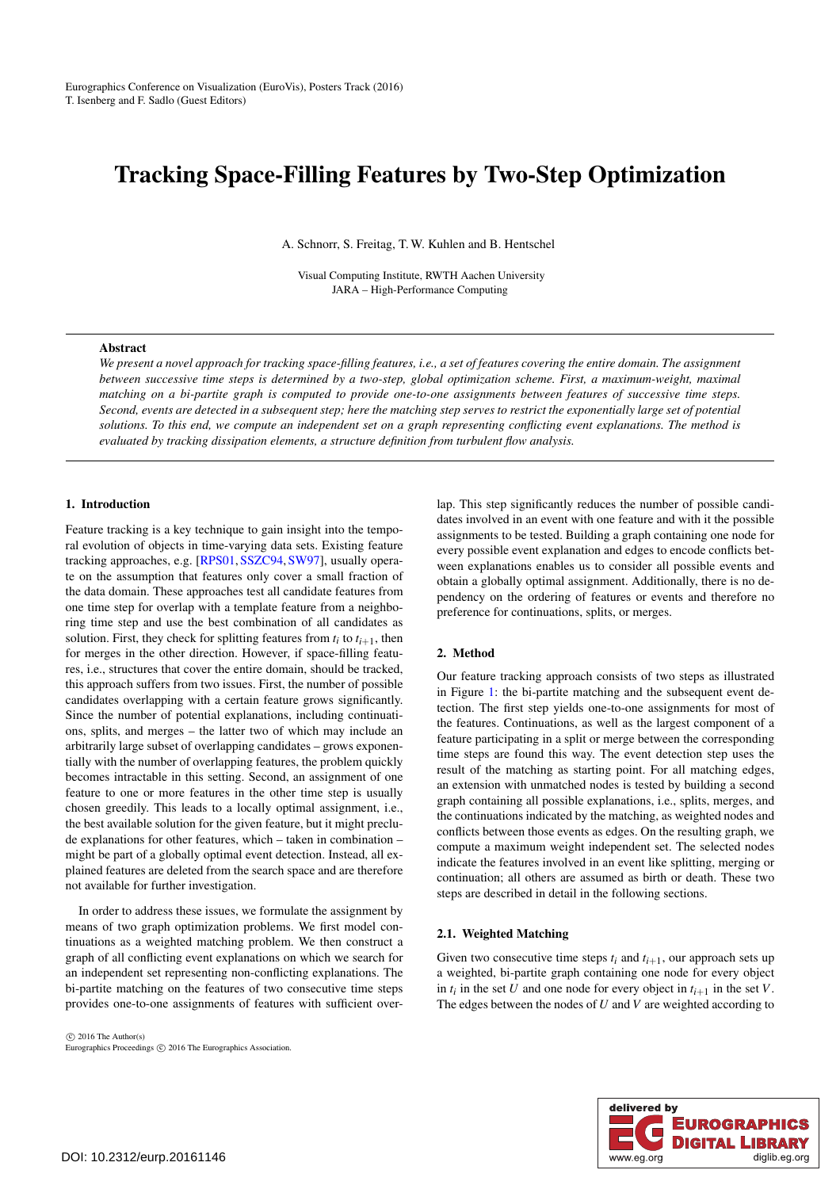# <span id="page-0-0"></span>Tracking Space-Filling Features by Two-Step Optimization

A. Schnorr, S. Freitag, T. W. Kuhlen and B. Hentschel

Visual Computing Institute, RWTH Aachen University JARA – High-Performance Computing

#### Abstract

*We present a novel approach for tracking space-filling features, i.e., a set of features covering the entire domain. The assignment between successive time steps is determined by a two-step, global optimization scheme. First, a maximum-weight, maximal matching on a bi-partite graph is computed to provide one-to-one assignments between features of successive time steps. Second, events are detected in a subsequent step; here the matching step serves to restrict the exponentially large set of potential solutions. To this end, we compute an independent set on a graph representing conflicting event explanations. The method is evaluated by tracking dissipation elements, a structure definition from turbulent flow analysis.*

# 1. Introduction

Feature tracking is a key technique to gain insight into the temporal evolution of objects in time-varying data sets. Existing feature tracking approaches, e.g. [\[RPS01,](#page-2-0) [SSZC94,](#page-2-1) [SW97\]](#page-2-2), usually operate on the assumption that features only cover a small fraction of the data domain. These approaches test all candidate features from one time step for overlap with a template feature from a neighboring time step and use the best combination of all candidates as solution. First, they check for splitting features from  $t_i$  to  $t_{i+1}$ , then for merges in the other direction. However, if space-filling features, i.e., structures that cover the entire domain, should be tracked, this approach suffers from two issues. First, the number of possible candidates overlapping with a certain feature grows significantly. Since the number of potential explanations, including continuations, splits, and merges – the latter two of which may include an arbitrarily large subset of overlapping candidates – grows exponentially with the number of overlapping features, the problem quickly becomes intractable in this setting. Second, an assignment of one feature to one or more features in the other time step is usually chosen greedily. This leads to a locally optimal assignment, i.e., the best available solution for the given feature, but it might preclude explanations for other features, which – taken in combination – might be part of a globally optimal event detection. Instead, all explained features are deleted from the search space and are therefore not available for further investigation.

In order to address these issues, we formulate the assignment by means of two graph optimization problems. We first model continuations as a weighted matching problem. We then construct a graph of all conflicting event explanations on which we search for an independent set representing non-conflicting explanations. The bi-partite matching on the features of two consecutive time steps provides one-to-one assignments of features with sufficient over-

 $\odot$  2016 The Author(s) Eurographics Proceedings © 2016 The Eurographics Association. lap. This step significantly reduces the number of possible candidates involved in an event with one feature and with it the possible assignments to be tested. Building a graph containing one node for every possible event explanation and edges to encode conflicts between explanations enables us to consider all possible events and obtain a globally optimal assignment. Additionally, there is no dependency on the ordering of features or events and therefore no preference for continuations, splits, or merges.

## 2. Method

Our feature tracking approach consists of two steps as illustrated in Figure [1:](#page-1-0) the bi-partite matching and the subsequent event detection. The first step yields one-to-one assignments for most of the features. Continuations, as well as the largest component of a feature participating in a split or merge between the corresponding time steps are found this way. The event detection step uses the result of the matching as starting point. For all matching edges, an extension with unmatched nodes is tested by building a second graph containing all possible explanations, i.e., splits, merges, and the continuations indicated by the matching, as weighted nodes and conflicts between those events as edges. On the resulting graph, we compute a maximum weight independent set. The selected nodes indicate the features involved in an event like splitting, merging or continuation; all others are assumed as birth or death. These two steps are described in detail in the following sections.

#### 2.1. Weighted Matching

Given two consecutive time steps  $t_i$  and  $t_{i+1}$ , our approach sets up a weighted, bi-partite graph containing one node for every object in  $t_i$  in the set *U* and one node for every object in  $t_{i+1}$  in the set *V*. The edges between the nodes of *U* and *V* are weighted according to

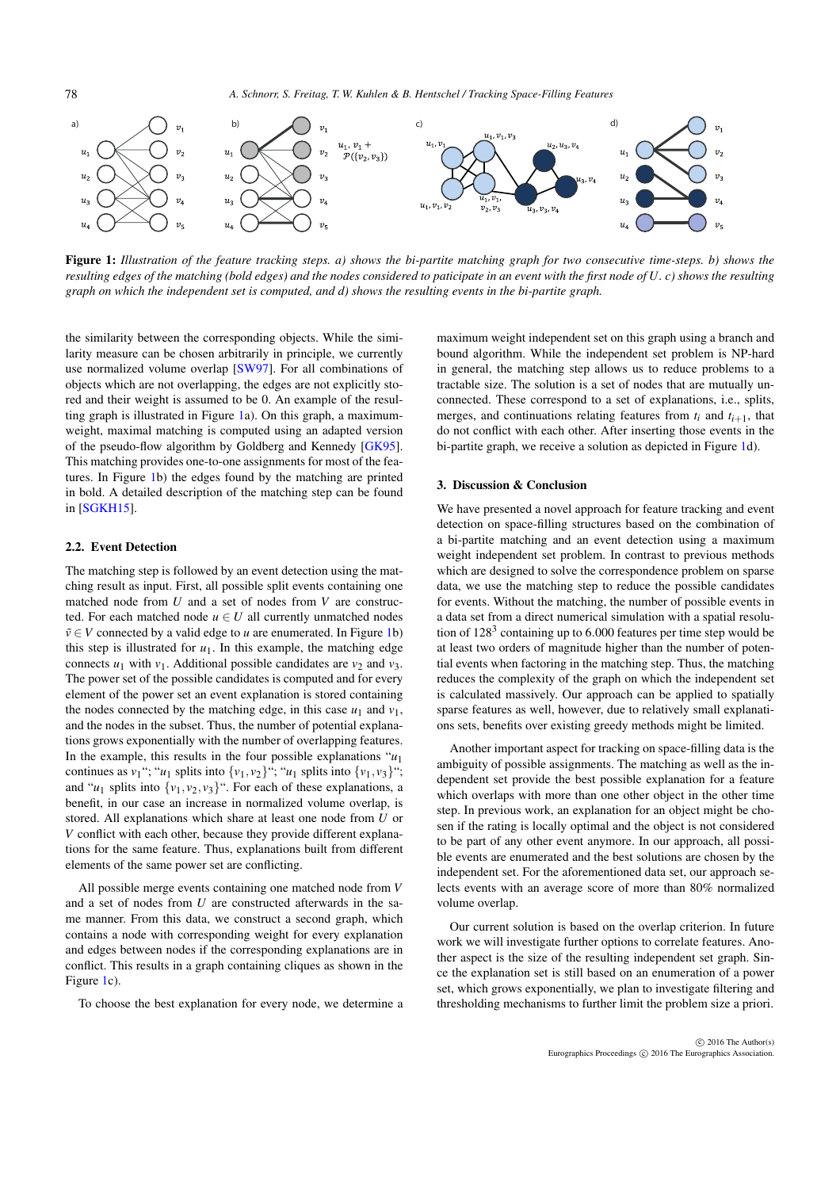<span id="page-1-1"></span>

<span id="page-1-0"></span>Figure 1: *Illustration of the feature tracking steps. a) shows the bi-partite matching graph for two consecutive time-steps. b) shows the resulting edges of the matching (bold edges) and the nodes considered to paticipate in an event with the first node of U. c) shows the resulting graph on which the independent set is computed, and d) shows the resulting events in the bi-partite graph.*

the similarity between the corresponding objects. While the similarity measure can be chosen arbitrarily in principle, we currently use normalized volume overlap [\[SW97\]](#page-2-2). For all combinations of objects which are not overlapping, the edges are not explicitly stored and their weight is assumed to be 0. An example of the resulting graph is illustrated in Figure [1a](#page-1-0)). On this graph, a maximumweight, maximal matching is computed using an adapted version of the pseudo-flow algorithm by Goldberg and Kennedy [\[GK95\]](#page-2-3). This matching provides one-to-one assignments for most of the features. In Figure [1b](#page-1-0)) the edges found by the matching are printed in bold. A detailed description of the matching step can be found in [\[SGKH15\]](#page-2-4).

## 2.2. Event Detection

The matching step is followed by an event detection using the matching result as input. First, all possible split events containing one matched node from *U* and a set of nodes from *V* are constructed. For each matched node  $u \in U$  all currently unmatched nodes  $\tilde{v} \in V$  connected by a valid edge to *u* are enumerated. In Figure [1b](#page-1-0)) this step is illustrated for  $u_1$ . In this example, the matching edge connects  $u_1$  with  $v_1$ . Additional possible candidates are  $v_2$  and  $v_3$ . The power set of the possible candidates is computed and for every element of the power set an event explanation is stored containing the nodes connected by the matching edge, in this case  $u_1$  and  $v_1$ , and the nodes in the subset. Thus, the number of potential explanations grows exponentially with the number of overlapping features. In the example, this results in the four possible explanations  $u_1$ continues as  $v_1$ "; " $u_1$  splits into  $\{v_1, v_2\}$ "; " $u_1$  splits into  $\{v_1, v_3\}$ "; and " $u_1$  splits into  $\{v_1, v_2, v_3\}$ ". For each of these explanations, a benefit, in our case an increase in normalized volume overlap, is stored. All explanations which share at least one node from *U* or *V* conflict with each other, because they provide different explanations for the same feature. Thus, explanations built from different elements of the same power set are conflicting.

All possible merge events containing one matched node from *V* and a set of nodes from *U* are constructed afterwards in the same manner. From this data, we construct a second graph, which contains a node with corresponding weight for every explanation and edges between nodes if the corresponding explanations are in conflict. This results in a graph containing cliques as shown in the Figure [1c](#page-1-0)).

To choose the best explanation for every node, we determine a

maximum weight independent set on this graph using a branch and bound algorithm. While the independent set problem is NP-hard in general, the matching step allows us to reduce problems to a tractable size. The solution is a set of nodes that are mutually unconnected. These correspond to a set of explanations, i.e., splits, merges, and continuations relating features from  $t_i$  and  $t_{i+1}$ , that do not conflict with each other. After inserting those events in the bi-partite graph, we receive a solution as depicted in Figure [1d](#page-1-0)).

## 3. Discussion & Conclusion

We have presented a novel approach for feature tracking and event detection on space-filling structures based on the combination of a bi-partite matching and an event detection using a maximum weight independent set problem. In contrast to previous methods which are designed to solve the correspondence problem on sparse data, we use the matching step to reduce the possible candidates for events. Without the matching, the number of possible events in a data set from a direct numerical simulation with a spatial resolution of  $128<sup>3</sup>$  containing up to 6.000 features per time step would be at least two orders of magnitude higher than the number of potential events when factoring in the matching step. Thus, the matching reduces the complexity of the graph on which the independent set is calculated massively. Our approach can be applied to spatially sparse features as well, however, due to relatively small explanations sets, benefits over existing greedy methods might be limited.

Another important aspect for tracking on space-filling data is the ambiguity of possible assignments. The matching as well as the independent set provide the best possible explanation for a feature which overlaps with more than one other object in the other time step. In previous work, an explanation for an object might be chosen if the rating is locally optimal and the object is not considered to be part of any other event anymore. In our approach, all possible events are enumerated and the best solutions are chosen by the independent set. For the aforementioned data set, our approach selects events with an average score of more than 80% normalized volume overlap.

Our current solution is based on the overlap criterion. In future work we will investigate further options to correlate features. Another aspect is the size of the resulting independent set graph. Since the explanation set is still based on an enumeration of a power set, which grows exponentially, we plan to investigate filtering and thresholding mechanisms to further limit the problem size a priori.